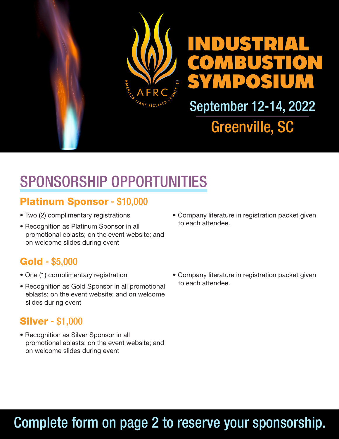

# SPONSORSHIP OPPORTUNITIES

### Platinum Sponsor - \$10,000

- Two (2) complimentary registrations
- Recognition as Platinum Sponsor in all promotional eblasts; on the event website; and on welcome slides during event

### Gold - \$5,000

- One (1) complimentary registration
- Recognition as Gold Sponsor in all promotional eblasts; on the event website; and on welcome slides during event

#### Silver - \$1,000

• Recognition as Silver Sponsor in all promotional eblasts; on the event website; and on welcome slides during event

• Company literature in registration packet given to each attendee.

• Company literature in registration packet given to each attendee.

### Complete form on page 2 to reserve your sponsorship.